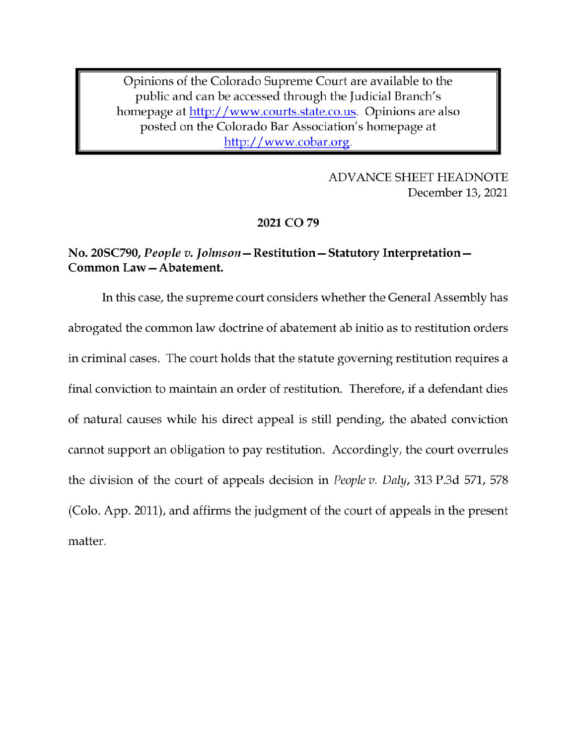Opinions of the Colorado Supreme Court are available to the public and can be accessed through the Judicial Branch's homepage at http://www.courts.state.co.us. Opinions are also posted on the Colorado Bar Association's homepage at http://www.cobar.org.

> **ADVANCE SHEET HEADNOTE** December 13, 2021

## 2021 CO 79

# No. 20SC790, People v. Johnson - Restitution - Statutory Interpretation -Common Law-Abatement.

In this case, the supreme court considers whether the General Assembly has abrogated the common law doctrine of abatement ab initio as to restitution orders in criminal cases. The court holds that the statute governing restitution requires a final conviction to maintain an order of restitution. Therefore, if a defendant dies of natural causes while his direct appeal is still pending, the abated conviction cannot support an obligation to pay restitution. Accordingly, the court overrules the division of the court of appeals decision in *People v. Daly*, 313 P.3d 571, 578 (Colo. App. 2011), and affirms the judgment of the court of appeals in the present matter.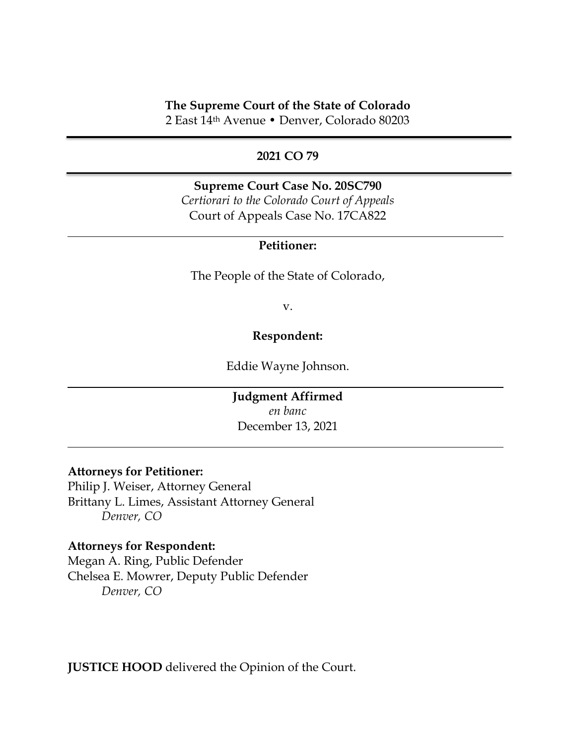## **The Supreme Court of the State of Colorado**

2 East 14th Avenue • Denver, Colorado 80203

### **2021 CO 79**

**Supreme Court Case No. 20SC790** *Certiorari to the Colorado Court of Appeals* Court of Appeals Case No. 17CA822

## **Petitioner:**

The People of the State of Colorado,

v.

### **Respondent:**

Eddie Wayne Johnson.

**Judgment Affirmed** *en banc* December 13, 2021

#### **Attorneys for Petitioner:**

Philip J. Weiser, Attorney General Brittany L. Limes, Assistant Attorney General *Denver, CO*

#### **Attorneys for Respondent:**

Megan A. Ring, Public Defender Chelsea E. Mowrer, Deputy Public Defender *Denver, CO*

**JUSTICE HOOD** delivered the Opinion of the Court.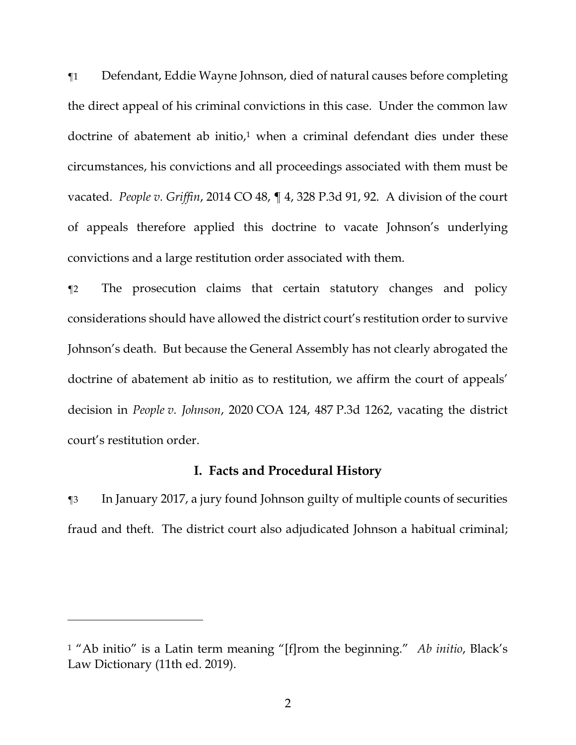¶1 Defendant, Eddie Wayne Johnson, died of natural causes before completing the direct appeal of his criminal convictions in this case. Under the common law doctrine of abatement ab initio, <sup>1</sup> when a criminal defendant dies under these circumstances, his convictions and all proceedings associated with them must be vacated. *People v. Griffin*, 2014 CO 48, ¶ 4, 328 P.3d 91, 92. A division of the court of appeals therefore applied this doctrine to vacate Johnson's underlying convictions and a large restitution order associated with them.

¶2 The prosecution claims that certain statutory changes and policy considerations should have allowed the district court's restitution order to survive Johnson's death. But because the General Assembly has not clearly abrogated the doctrine of abatement ab initio as to restitution, we affirm the court of appeals' decision in *People v. Johnson*, 2020 COA 124, 487 P.3d 1262, vacating the district court's restitution order.

## **I. Facts and Procedural History**

¶3 In January 2017, a jury found Johnson guilty of multiple counts of securities fraud and theft. The district court also adjudicated Johnson a habitual criminal;

<sup>1</sup> "Ab initio" is a Latin term meaning "[f]rom the beginning." *Ab initio*, Black's Law Dictionary (11th ed. 2019).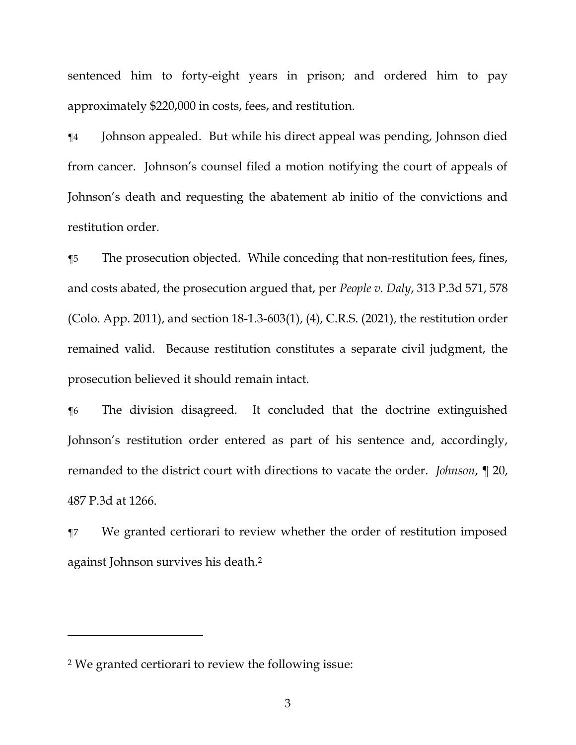sentenced him to forty-eight years in prison; and ordered him to pay approximately \$220,000 in costs, fees, and restitution.

¶4 Johnson appealed. But while his direct appeal was pending, Johnson died from cancer. Johnson's counsel filed a motion notifying the court of appeals of Johnson's death and requesting the abatement ab initio of the convictions and restitution order.

¶5 The prosecution objected. While conceding that non-restitution fees, fines, and costs abated, the prosecution argued that, per *People v. Daly*, 313 P.3d 571, 578 (Colo. App. 2011), and section 18-1.3-603(1), (4), C.R.S. (2021), the restitution order remained valid. Because restitution constitutes a separate civil judgment, the prosecution believed it should remain intact.

¶6 The division disagreed. It concluded that the doctrine extinguished Johnson's restitution order entered as part of his sentence and, accordingly, remanded to the district court with directions to vacate the order. *Johnson*, ¶ 20, 487 P.3d at 1266.

¶7 We granted certiorari to review whether the order of restitution imposed against Johnson survives his death.<sup>2</sup>

<sup>2</sup> We granted certiorari to review the following issue: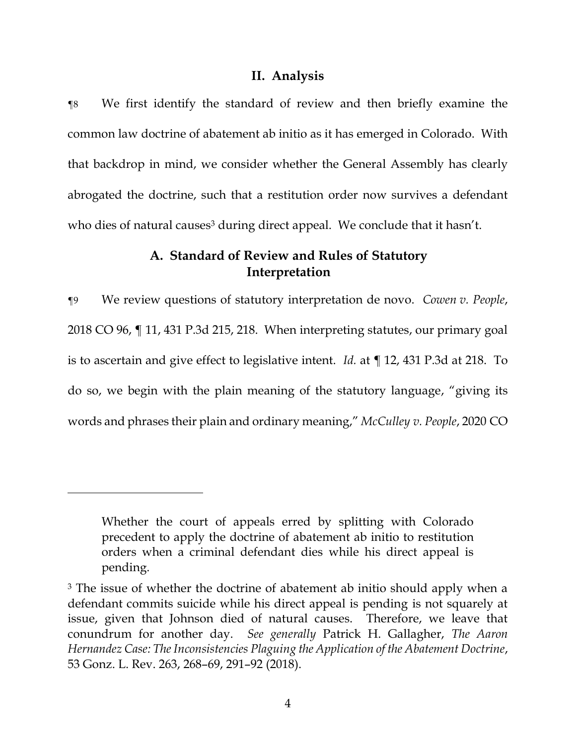## **II. Analysis**

¶8 We first identify the standard of review and then briefly examine the common law doctrine of abatement ab initio as it has emerged in Colorado. With that backdrop in mind, we consider whether the General Assembly has clearly abrogated the doctrine, such that a restitution order now survives a defendant who dies of natural causes<sup>3</sup> during direct appeal. We conclude that it hasn't.

# **A. Standard of Review and Rules of Statutory Interpretation**

¶9 We review questions of statutory interpretation de novo. *Cowen v. People*, 2018 CO 96, ¶ 11, 431 P.3d 215, 218. When interpreting statutes, our primary goal is to ascertain and give effect to legislative intent. *Id.* at ¶ 12, 431 P.3d at 218. To do so, we begin with the plain meaning of the statutory language, "giving its words and phrases their plain and ordinary meaning," *McCulley v. People*, 2020 CO

Whether the court of appeals erred by splitting with Colorado precedent to apply the doctrine of abatement ab initio to restitution orders when a criminal defendant dies while his direct appeal is pending.

<sup>&</sup>lt;sup>3</sup> The issue of whether the doctrine of abatement ab initio should apply when a defendant commits suicide while his direct appeal is pending is not squarely at issue, given that Johnson died of natural causes. Therefore, we leave that conundrum for another day. *See generally* Patrick H. Gallagher, *The Aaron Hernandez Case: The Inconsistencies Plaguing the Application of the Abatement Doctrine*, 53 Gonz. L. Rev. 263, 268–69, 291–92 (2018).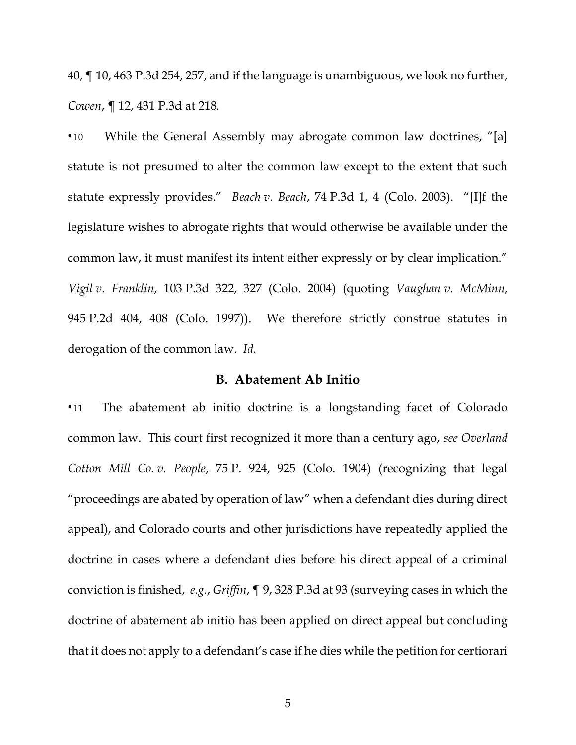40, ¶ 10, 463 P.3d 254, 257, and if the language is unambiguous, we look no further, *Cowen*, ¶ 12, 431 P.3d at 218*.*

¶10 While the General Assembly may abrogate common law doctrines, "[a] statute is not presumed to alter the common law except to the extent that such statute expressly provides." *Beach v. Beach*, 74 P.3d 1, 4 (Colo. 2003). "[I]f the legislature wishes to abrogate rights that would otherwise be available under the common law, it must manifest its intent either expressly or by clear implication." *Vigil v. Franklin*, 103 P.3d 322, 327 (Colo. 2004) (quoting *Vaughan v. McMinn*, 945 P.2d 404, 408 (Colo. 1997)). We therefore strictly construe statutes in derogation of the common law. *Id.*

## **B. Abatement Ab Initio**

¶11 The abatement ab initio doctrine is a longstanding facet of Colorado common law. This court first recognized it more than a century ago, *see Overland Cotton Mill Co. v. People*, 75 P. 924, 925 (Colo. 1904) (recognizing that legal "proceedings are abated by operation of law" when a defendant dies during direct appeal), and Colorado courts and other jurisdictions have repeatedly applied the doctrine in cases where a defendant dies before his direct appeal of a criminal conviction is finished, *e.g.*, *Griffin*, ¶ 9, 328 P.3d at 93 (surveying cases in which the doctrine of abatement ab initio has been applied on direct appeal but concluding that it does not apply to a defendant's case if he dies while the petition for certiorari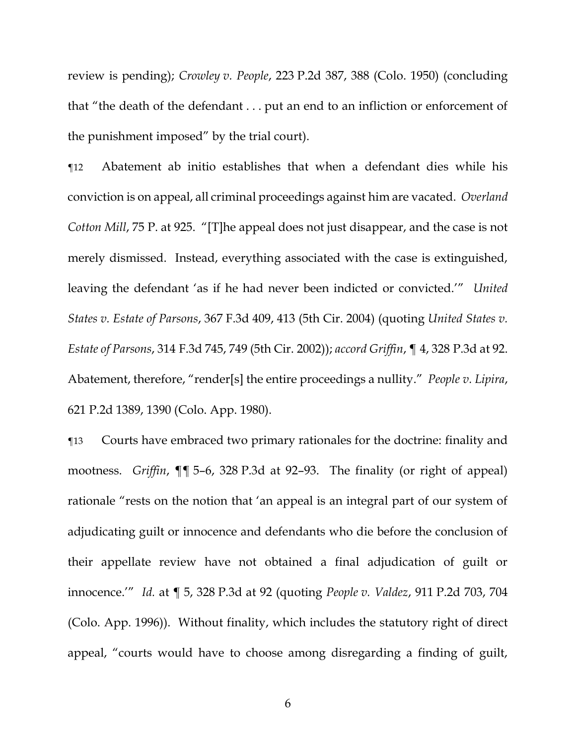review is pending); *Crowley v. People*, 223 P.2d 387, 388 (Colo. 1950) (concluding that "the death of the defendant . . . put an end to an infliction or enforcement of the punishment imposed" by the trial court).

¶12 Abatement ab initio establishes that when a defendant dies while his conviction is on appeal, all criminal proceedings against him are vacated. *Overland Cotton Mill*, 75 P. at 925. "[T]he appeal does not just disappear, and the case is not merely dismissed. Instead, everything associated with the case is extinguished, leaving the defendant 'as if he had never been indicted or convicted.'" *United States v. Estate of Parsons*, 367 F.3d 409, 413 (5th Cir. 2004) (quoting *United States v. Estate of Parsons*, 314 F.3d 745, 749 (5th Cir. 2002)); *accord Griffin*, ¶ 4, 328 P.3d at 92. Abatement, therefore, "render[s] the entire proceedings a nullity." *People v. Lipira*, 621 P.2d 1389, 1390 (Colo. App. 1980).

¶13 Courts have embraced two primary rationales for the doctrine: finality and mootness. *Griffin*, ¶¶ 5–6, 328 P.3d at 92–93. The finality (or right of appeal) rationale "rests on the notion that 'an appeal is an integral part of our system of adjudicating guilt or innocence and defendants who die before the conclusion of their appellate review have not obtained a final adjudication of guilt or innocence.'" *Id.* at ¶ 5, 328 P.3d at 92 (quoting *People v. Valdez*, 911 P.2d 703, 704 (Colo. App. 1996)). Without finality, which includes the statutory right of direct appeal, "courts would have to choose among disregarding a finding of guilt,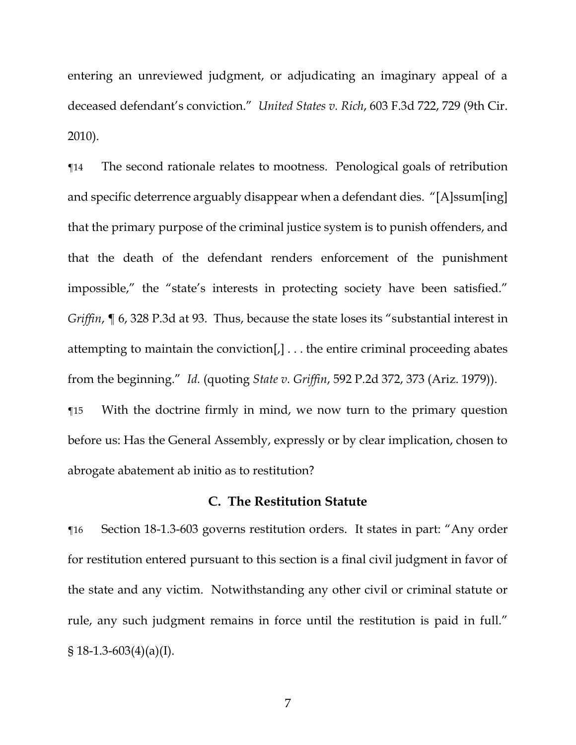entering an unreviewed judgment, or adjudicating an imaginary appeal of a deceased defendant's conviction." *United States v. Rich*, 603 F.3d 722, 729 (9th Cir. 2010).

¶14 The second rationale relates to mootness. Penological goals of retribution and specific deterrence arguably disappear when a defendant dies. "[A]ssum[ing] that the primary purpose of the criminal justice system is to punish offenders, and that the death of the defendant renders enforcement of the punishment impossible," the "state's interests in protecting society have been satisfied." *Griffin*, ¶ 6, 328 P.3d at 93. Thus, because the state loses its "substantial interest in attempting to maintain the conviction[,] . . . the entire criminal proceeding abates from the beginning." *Id.* (quoting *State v. Griffin*, 592 P.2d 372, 373 (Ariz. 1979)).

¶15 With the doctrine firmly in mind, we now turn to the primary question before us: Has the General Assembly, expressly or by clear implication, chosen to abrogate abatement ab initio as to restitution?

## **C. The Restitution Statute**

¶16 Section 18-1.3-603 governs restitution orders. It states in part: "Any order for restitution entered pursuant to this section is a final civil judgment in favor of the state and any victim. Notwithstanding any other civil or criminal statute or rule, any such judgment remains in force until the restitution is paid in full."  $$18-1.3-603(4)(a)(I).$ 

7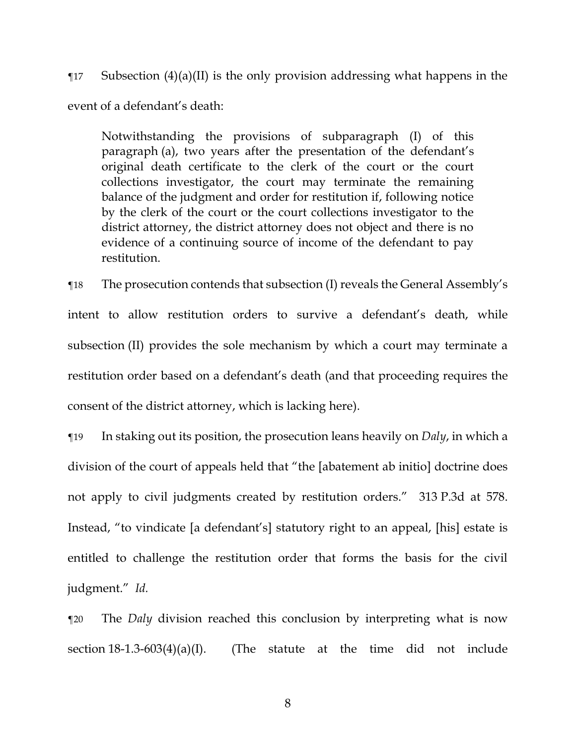$\P$ 17 Subsection (4)(a)(II) is the only provision addressing what happens in the event of a defendant's death:

Notwithstanding the provisions of subparagraph (I) of this paragraph (a), two years after the presentation of the defendant's original death certificate to the clerk of the court or the court collections investigator, the court may terminate the remaining balance of the judgment and order for restitution if, following notice by the clerk of the court or the court collections investigator to the district attorney, the district attorney does not object and there is no evidence of a continuing source of income of the defendant to pay restitution.

¶18 The prosecution contends that subsection (I) reveals the General Assembly's intent to allow restitution orders to survive a defendant's death, while subsection (II) provides the sole mechanism by which a court may terminate a restitution order based on a defendant's death (and that proceeding requires the consent of the district attorney, which is lacking here).

¶19 In staking out its position, the prosecution leans heavily on *Daly*, in which a division of the court of appeals held that "the [abatement ab initio] doctrine does not apply to civil judgments created by restitution orders." 313 P.3d at 578. Instead, "to vindicate [a defendant's] statutory right to an appeal, [his] estate is entitled to challenge the restitution order that forms the basis for the civil judgment." *Id.*

¶20 The *Daly* division reached this conclusion by interpreting what is now section  $18-1.3-603(4)(a)(I)$ . (The statute at the time did not include

8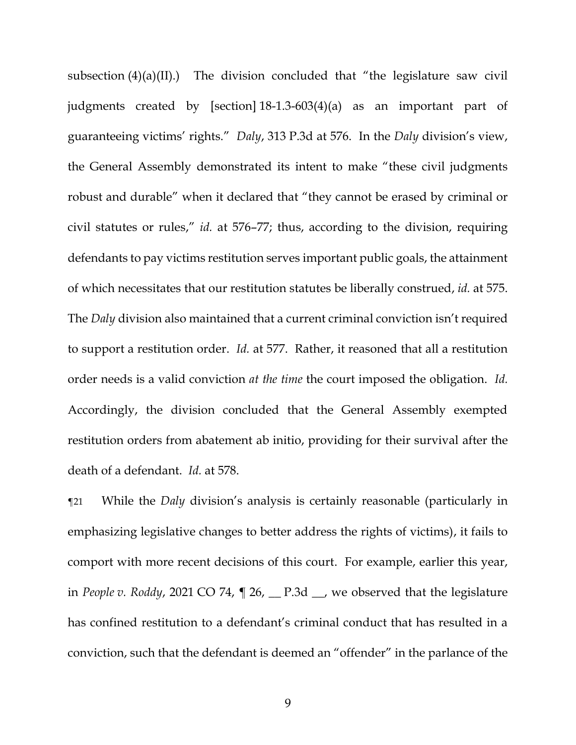subsection (4)(a)(II).) The division concluded that "the legislature saw civil judgments created by [section] 18-1.3-603(4)(a) as an important part of guaranteeing victims' rights." *Daly*, 313 P.3d at 576. In the *Daly* division's view, the General Assembly demonstrated its intent to make "these civil judgments robust and durable" when it declared that "they cannot be erased by criminal or civil statutes or rules," *id.* at 576–77; thus, according to the division, requiring defendants to pay victims restitution serves important public goals, the attainment of which necessitates that our restitution statutes be liberally construed, *id.* at 575. The *Daly* division also maintained that a current criminal conviction isn't required to support a restitution order. *Id.* at 577. Rather, it reasoned that all a restitution order needs is a valid conviction *at the time* the court imposed the obligation. *Id.* Accordingly, the division concluded that the General Assembly exempted restitution orders from abatement ab initio, providing for their survival after the death of a defendant. *Id.* at 578.

¶21 While the *Daly* division's analysis is certainly reasonable (particularly in emphasizing legislative changes to better address the rights of victims), it fails to comport with more recent decisions of this court. For example, earlier this year, in *People v. Roddy*, 2021 CO 74, ¶ 26, \_\_ P.3d \_\_, we observed that the legislature has confined restitution to a defendant's criminal conduct that has resulted in a conviction, such that the defendant is deemed an "offender" in the parlance of the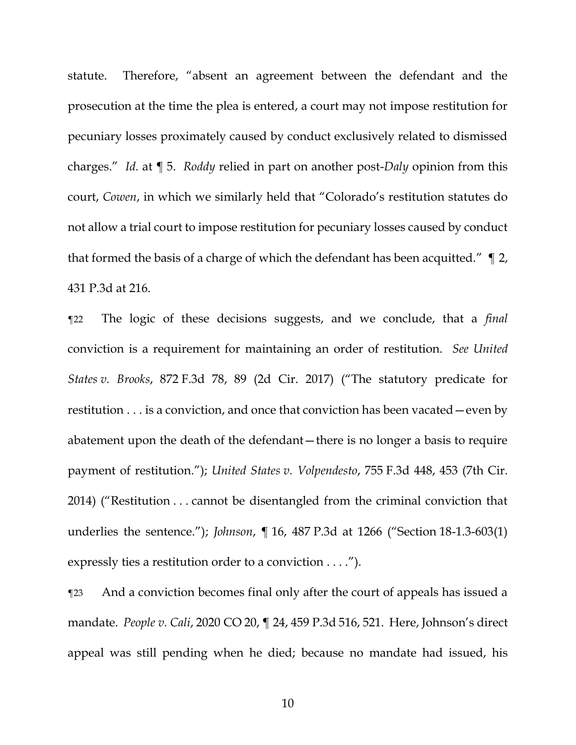statute. Therefore, "absent an agreement between the defendant and the prosecution at the time the plea is entered, a court may not impose restitution for pecuniary losses proximately caused by conduct exclusively related to dismissed charges." *Id.* at ¶ 5. *Roddy* relied in part on another post-*Daly* opinion from this court, *Cowen*, in which we similarly held that "Colorado's restitution statutes do not allow a trial court to impose restitution for pecuniary losses caused by conduct that formed the basis of a charge of which the defendant has been acquitted." ¶ 2, 431 P.3d at 216.

¶22 The logic of these decisions suggests, and we conclude, that a *final* conviction is a requirement for maintaining an order of restitution. *See United States v. Brooks*, 872 F.3d 78, 89 (2d Cir. 2017) ("The statutory predicate for restitution . . . is a conviction, and once that conviction has been vacated—even by abatement upon the death of the defendant—there is no longer a basis to require payment of restitution."); *United States v. Volpendesto*, 755 F.3d 448, 453 (7th Cir. 2014) ("Restitution . . . cannot be disentangled from the criminal conviction that underlies the sentence."); *Johnson*, ¶ 16, 487 P.3d at 1266 ("Section 18-1.3-603(1) expressly ties a restitution order to a conviction . . . .").

¶23 And a conviction becomes final only after the court of appeals has issued a mandate. *People v. Cali*, 2020 CO 20, ¶ 24, 459 P.3d 516, 521. Here, Johnson's direct appeal was still pending when he died; because no mandate had issued, his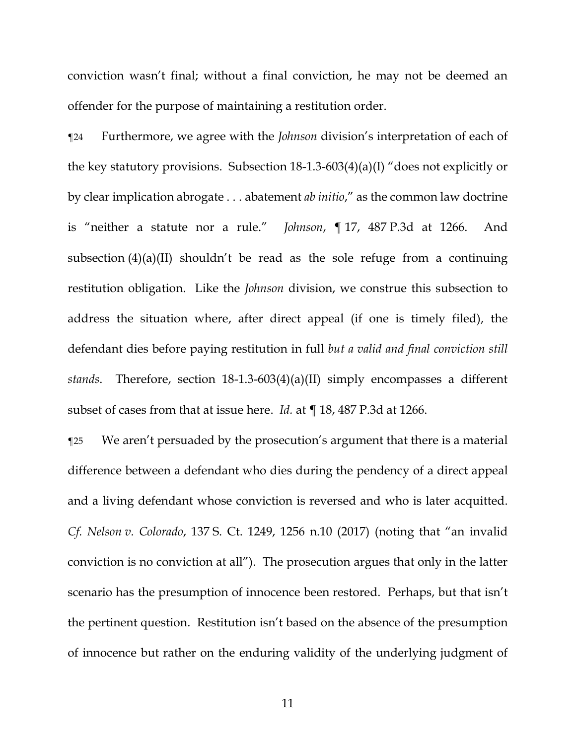conviction wasn't final; without a final conviction, he may not be deemed an offender for the purpose of maintaining a restitution order.

¶24 Furthermore, we agree with the *Johnson* division's interpretation of each of the key statutory provisions. Subsection 18-1.3-603(4)(a)(I) "does not explicitly or by clear implication abrogate . . . abatement *ab initio*," as the common law doctrine is "neither a statute nor a rule." *Johnson*, ¶ 17, 487 P.3d at 1266. And subsection  $(4)(a)(II)$  shouldn't be read as the sole refuge from a continuing restitution obligation. Like the *Johnson* division, we construe this subsection to address the situation where, after direct appeal (if one is timely filed), the defendant dies before paying restitution in full *but a valid and final conviction still stands*. Therefore, section 18-1.3-603(4)(a)(II) simply encompasses a different subset of cases from that at issue here. *Id.* at ¶ 18, 487 P.3d at 1266.

¶25 We aren't persuaded by the prosecution's argument that there is a material difference between a defendant who dies during the pendency of a direct appeal and a living defendant whose conviction is reversed and who is later acquitted. *Cf. Nelson v. Colorado*, 137 S. Ct. 1249, 1256 n.10 (2017) (noting that "an invalid conviction is no conviction at all"). The prosecution argues that only in the latter scenario has the presumption of innocence been restored. Perhaps, but that isn't the pertinent question. Restitution isn't based on the absence of the presumption of innocence but rather on the enduring validity of the underlying judgment of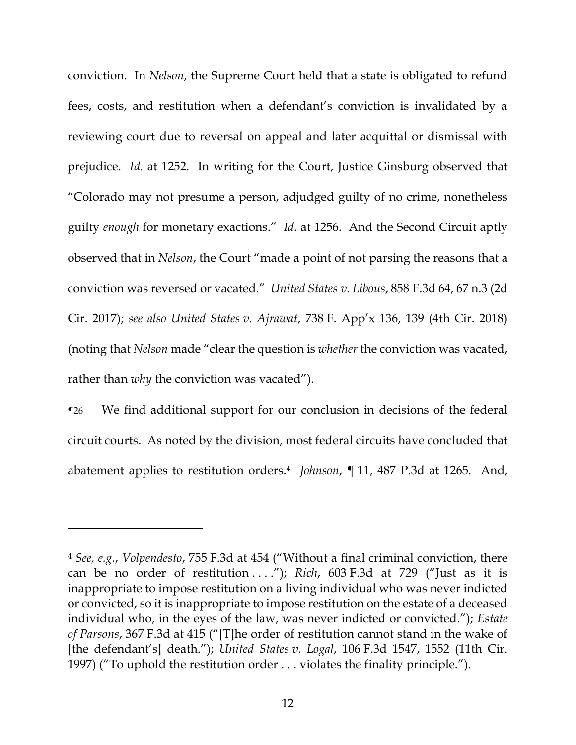conviction. In *Nelson*, the Supreme Court held that a state is obligated to refund fees, costs, and restitution when a defendant's conviction is invalidated by a reviewing court due to reversal on appeal and later acquittal or dismissal with prejudice. *Id.* at 1252. In writing for the Court, Justice Ginsburg observed that "Colorado may not presume a person, adjudged guilty of no crime, nonetheless guilty *enough* for monetary exactions." *Id.* at 1256. And the Second Circuit aptly observed that in *Nelson*, the Court "made a point of not parsing the reasons that a conviction was reversed or vacated." *United States v. Libous*, 858 F.3d 64, 67 n.3 (2d Cir. 2017); *see also United States v. Ajrawat*, 738 F. App'x 136, 139 (4th Cir. 2018) (noting that *Nelson* made "clear the question is *whether* the conviction was vacated, rather than *why* the conviction was vacated").

¶26 We find additional support for our conclusion in decisions of the federal circuit courts. As noted by the division, most federal circuits have concluded that abatement applies to restitution orders.<sup>4</sup> *Johnson*, ¶ 11, 487 P.3d at 1265. And,

<sup>4</sup> *See, e.g.*, *Volpendesto*, 755 F.3d at 454 ("Without a final criminal conviction, there can be no order of restitution . . . ."); *Rich*, 603 F.3d at 729 ("Just as it is inappropriate to impose restitution on a living individual who was never indicted or convicted, so it is inappropriate to impose restitution on the estate of a deceased individual who, in the eyes of the law, was never indicted or convicted."); *Estate of Parsons*, 367 F.3d at 415 ("[T]he order of restitution cannot stand in the wake of [the defendant's] death."); *United States v. Logal*, 106 F.3d 1547, 1552 (11th Cir. 1997) ("To uphold the restitution order . . . violates the finality principle.").